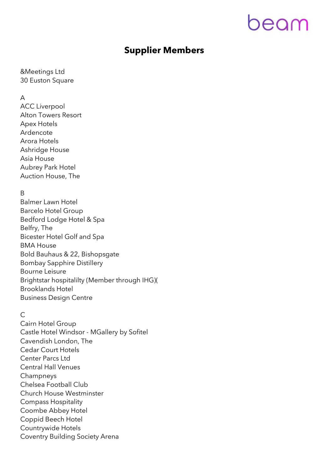# peam

# **Supplier Members**

&Meetings Ltd 30 Euston Square

#### A

ACC Liverpool Alton Towers Resort Apex Hotels Ardencote Arora Hotels Ashridge House Asia House Aubrey Park Hotel Auction House, The

## B

Balmer Lawn Hotel Barcelo Hotel Group Bedford Lodge Hotel & Spa Belfry, The Bicester Hotel Golf and Spa BMA House Bold Bauhaus & 22, Bishopsgate Bombay Sapphire Distillery Bourne Leisure Brightstar hospitalilty (Member through IHG)( Brooklands Hotel Business Design Centre

### $\overline{C}$

Cairn Hotel Group Castle Hotel Windsor - MGallery by Sofitel Cavendish London, The Cedar Court Hotels Center Parcs Ltd Central Hall Venues Champneys Chelsea Football Club Church House Westminster Compass Hospitality Coombe Abbey Hotel Coppid Beech Hotel Countrywide Hotels Coventry Building Society Arena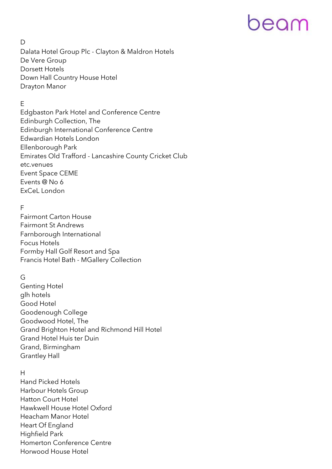# eeam

#### $\mathsf{D}$

Dalata Hotel Group Plc - Clayton & Maldron Hotels De Vere Group Dorsett Hotels Down Hall Country House Hotel Drayton Manor

# E

Edgbaston Park Hotel and Conference Centre Edinburgh Collection, The Edinburgh International Conference Centre Edwardian Hotels London Ellenborough Park Emirates Old Trafford - Lancashire County Cricket Club etc.venues Event Space CEME Events @ No 6 ExCeL London

#### F

Fairmont Carton House Fairmont St Andrews Farnborough International Focus Hotels Formby Hall Golf Resort and Spa Francis Hotel Bath - MGallery Collection

### G

Genting Hotel glh hotels Good Hotel Goodenough College Goodwood Hotel, The Grand Brighton Hotel and Richmond Hill Hotel Grand Hotel Huis ter Duin Grand, Birmingham Grantley Hall

#### H

Hand Picked Hotels Harbour Hotels Group Hatton Court Hotel Hawkwell House Hotel Oxford Heacham Manor Hotel Heart Of England Highfield Park Homerton Conference Centre Horwood House Hotel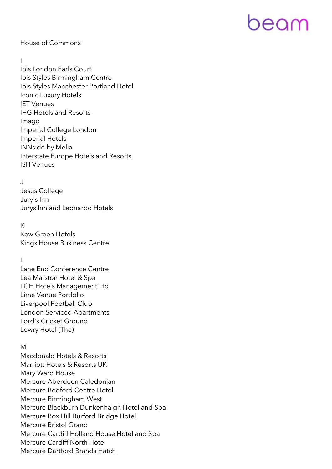# eeam

#### House of Commons

#### I

Ibis London Earls Court Ibis Styles Birmingham Centre Ibis Styles Manchester Portland Hotel Iconic Luxury Hotels IET Venues IHG Hotels and Resorts Imago Imperial College London Imperial Hotels INNside by Melia Interstate Europe Hotels and Resorts ISH Venues

### J

Jesus College Jury's Inn Jurys Inn and Leonardo Hotels

#### K

Kew Green Hotels Kings House Business Centre

### $\mathsf{L}$

Lane End Conference Centre Lea Marston Hotel & Spa LGH Hotels Management Ltd Lime Venue Portfolio Liverpool Football Club London Serviced Apartments Lord's Cricket Ground Lowry Hotel (The)

### M

Macdonald Hotels & Resorts Marriott Hotels & Resorts UK Mary Ward House Mercure Aberdeen Caledonian Mercure Bedford Centre Hotel Mercure Birmingham West Mercure Blackburn Dunkenhalgh Hotel and Spa Mercure Box Hill Burford Bridge Hotel Mercure Bristol Grand Mercure Cardiff Holland House Hotel and Spa Mercure Cardiff North Hotel Mercure Dartford Brands Hatch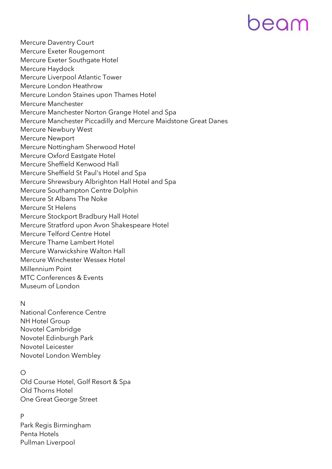# DEAM

Mercure Daventry Court Mercure Exeter Rougemont Mercure Exeter Southgate Hotel Mercure Haydock Mercure Liverpool Atlantic Tower Mercure London Heathrow Mercure London Staines upon Thames Hotel Mercure Manchester Mercure Manchester Norton Grange Hotel and Spa Mercure Manchester Piccadilly and Mercure Maidstone Great Danes Mercure Newbury West Mercure Newport Mercure Nottingham Sherwood Hotel Mercure Oxford Eastgate Hotel Mercure Sheffield Kenwood Hall Mercure Sheffield St Paul's Hotel and Spa Mercure Shrewsbury Albrighton Hall Hotel and Spa Mercure Southampton Centre Dolphin Mercure St Albans The Noke Mercure St Helens Mercure Stockport Bradbury Hall Hotel Mercure Stratford upon Avon Shakespeare Hotel Mercure Telford Centre Hotel Mercure Thame Lambert Hotel Mercure Warwickshire Walton Hall Mercure Winchester Wessex Hotel Millennium Point MTC Conferences & Events Museum of London

#### N

National Conference Centre NH Hotel Group Novotel Cambridge Novotel Edinburgh Park Novotel Leicester Novotel London Wembley

### $\circ$

Old Course Hotel, Golf Resort & Spa Old Thorns Hotel One Great George Street

## P

Park Regis Birmingham Penta Hotels Pullman Liverpool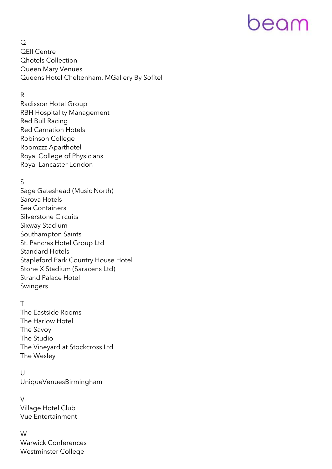# eeam

 $\Omega$ QEII Centre Qhotels Collection Queen Mary Venues Queens Hotel Cheltenham, MGallery By Sofitel

### R

Radisson Hotel Group RBH Hospitality Management Red Bull Racing Red Carnation Hotels Robinson College Roomzzz Aparthotel Royal College of Physicians Royal Lancaster London

### S

Sage Gateshead (Music North) Sarova Hotels Sea Containers Silverstone Circuits Sixway Stadium Southampton Saints St. Pancras Hotel Group Ltd Standard Hotels Stapleford Park Country House Hotel Stone X Stadium (Saracens Ltd) Strand Palace Hotel Swingers

### T

The Eastside Rooms The Harlow Hotel The Savoy The Studio The Vineyard at Stockcross Ltd The Wesley

 $\cup$ UniqueVenuesBirmingham

V Village Hotel Club Vue Entertainment

W Warwick Conferences Westminster College